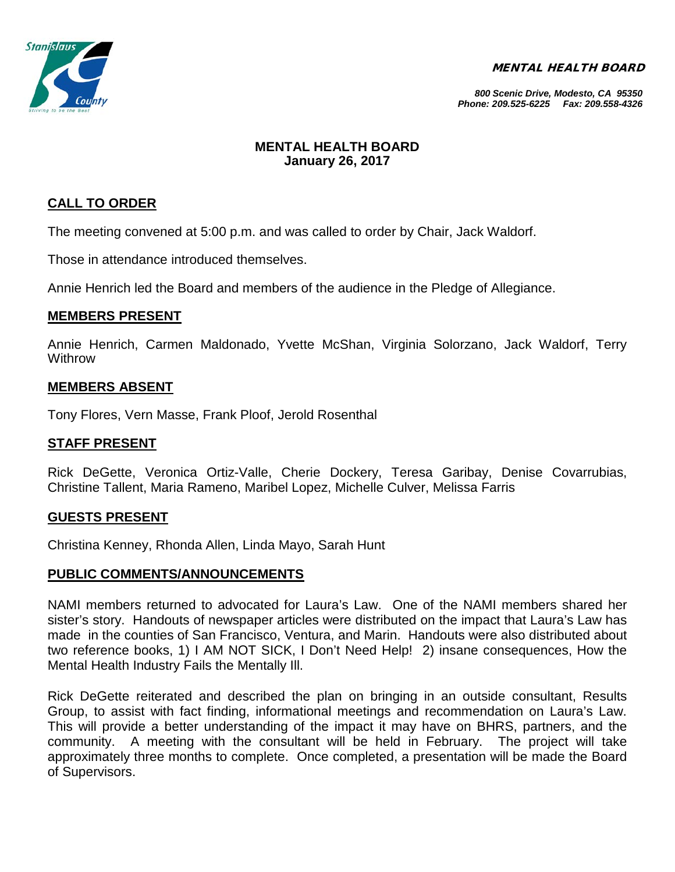MENTAL HEALTH BOARD



#### *800 Scenic Drive, Modesto, CA 95350 Phone: 209.525-6225 Fax: 209.558-4326*

## **MENTAL HEALTH BOARD January 26, 2017**

# **CALL TO ORDER**

The meeting convened at 5:00 p.m. and was called to order by Chair, Jack Waldorf.

Those in attendance introduced themselves.

Annie Henrich led the Board and members of the audience in the Pledge of Allegiance.

### **MEMBERS PRESENT**

Annie Henrich, Carmen Maldonado, Yvette McShan, Virginia Solorzano, Jack Waldorf, Terry **Withrow** 

# **MEMBERS ABSENT**

Tony Flores, Vern Masse, Frank Ploof, Jerold Rosenthal

## **STAFF PRESENT**

Rick DeGette, Veronica Ortiz-Valle, Cherie Dockery, Teresa Garibay, Denise Covarrubias, Christine Tallent, Maria Rameno, Maribel Lopez, Michelle Culver, Melissa Farris

### **GUESTS PRESENT**

Christina Kenney, Rhonda Allen, Linda Mayo, Sarah Hunt

### **PUBLIC COMMENTS/ANNOUNCEMENTS**

NAMI members returned to advocated for Laura's Law. One of the NAMI members shared her sister's story. Handouts of newspaper articles were distributed on the impact that Laura's Law has made in the counties of San Francisco, Ventura, and Marin. Handouts were also distributed about two reference books, 1) I AM NOT SICK, I Don't Need Help! 2) insane consequences, How the Mental Health Industry Fails the Mentally Ill.

Rick DeGette reiterated and described the plan on bringing in an outside consultant, Results Group, to assist with fact finding, informational meetings and recommendation on Laura's Law. This will provide a better understanding of the impact it may have on BHRS, partners, and the community. A meeting with the consultant will be held in February. The project will take approximately three months to complete. Once completed, a presentation will be made the Board of Supervisors.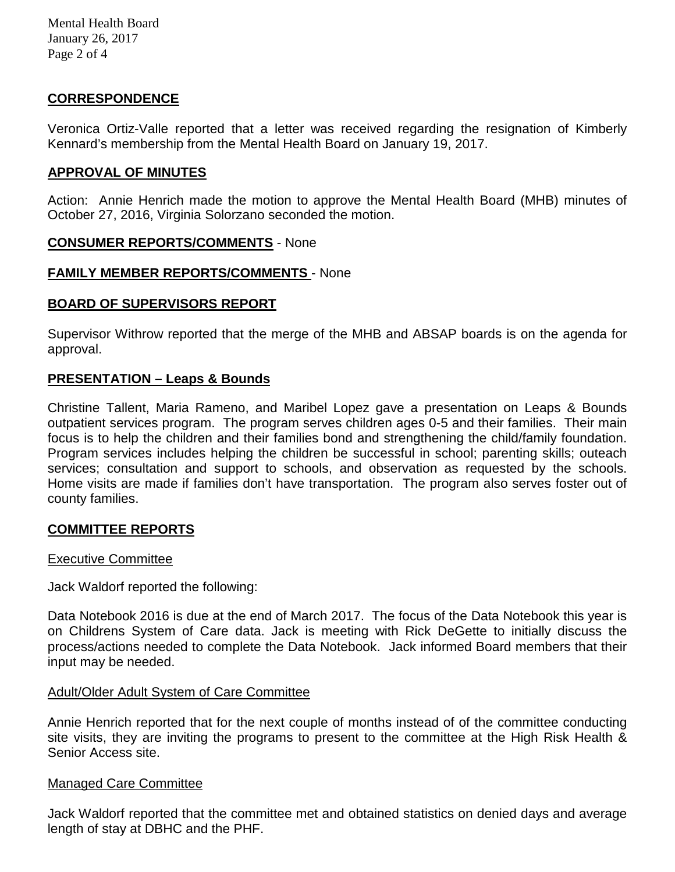Mental Health Board January 26, 2017 Page 2 of 4

# **CORRESPONDENCE**

Veronica Ortiz-Valle reported that a letter was received regarding the resignation of Kimberly Kennard's membership from the Mental Health Board on January 19, 2017.

#### **APPROVAL OF MINUTES**

Action: Annie Henrich made the motion to approve the Mental Health Board (MHB) minutes of October 27, 2016, Virginia Solorzano seconded the motion.

#### **CONSUMER REPORTS/COMMENTS** - None

#### **FAMILY MEMBER REPORTS/COMMENTS** - None

### **BOARD OF SUPERVISORS REPORT**

Supervisor Withrow reported that the merge of the MHB and ABSAP boards is on the agenda for approval.

### **PRESENTATION – Leaps & Bounds**

Christine Tallent, Maria Rameno, and Maribel Lopez gave a presentation on Leaps & Bounds outpatient services program. The program serves children ages 0-5 and their families. Their main focus is to help the children and their families bond and strengthening the child/family foundation. Program services includes helping the children be successful in school; parenting skills; outeach services; consultation and support to schools, and observation as requested by the schools. Home visits are made if families don't have transportation. The program also serves foster out of county families.

### **COMMITTEE REPORTS**

#### Executive Committee

Jack Waldorf reported the following:

Data Notebook 2016 is due at the end of March 2017. The focus of the Data Notebook this year is on Childrens System of Care data. Jack is meeting with Rick DeGette to initially discuss the process/actions needed to complete the Data Notebook. Jack informed Board members that their input may be needed.

#### Adult/Older Adult System of Care Committee

Annie Henrich reported that for the next couple of months instead of of the committee conducting site visits, they are inviting the programs to present to the committee at the High Risk Health & Senior Access site.

#### Managed Care Committee

Jack Waldorf reported that the committee met and obtained statistics on denied days and average length of stay at DBHC and the PHF.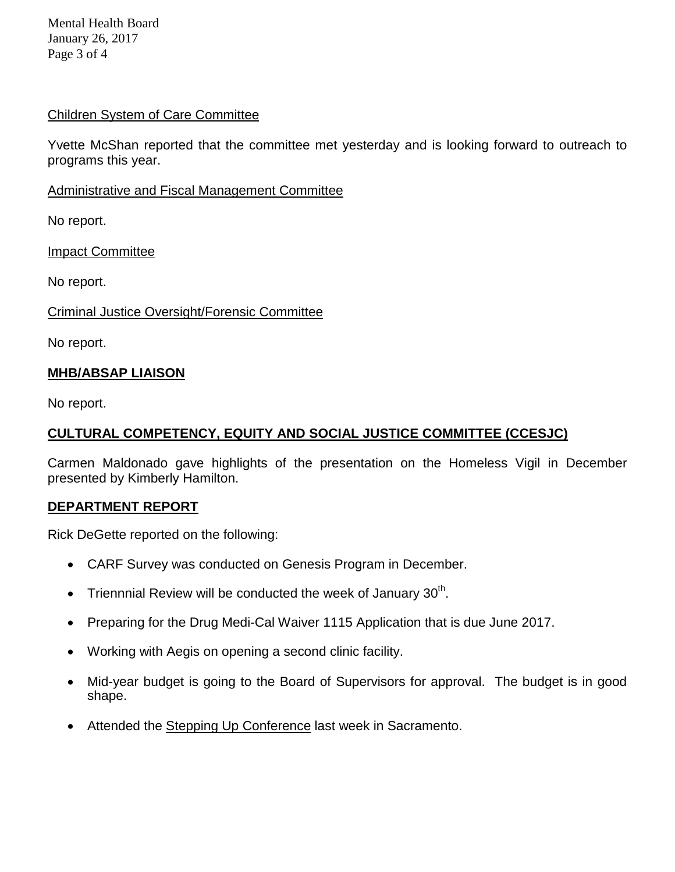Mental Health Board January 26, 2017 Page 3 of 4

## Children System of Care Committee

Yvette McShan reported that the committee met yesterday and is looking forward to outreach to programs this year.

Administrative and Fiscal Management Committee

No report.

Impact Committee

No report.

Criminal Justice Oversight/Forensic Committee

No report.

# **MHB/ABSAP LIAISON**

No report.

# **CULTURAL COMPETENCY, EQUITY AND SOCIAL JUSTICE COMMITTEE (CCESJC)**

Carmen Maldonado gave highlights of the presentation on the Homeless Vigil in December presented by Kimberly Hamilton.

### **DEPARTMENT REPORT**

Rick DeGette reported on the following:

- CARF Survey was conducted on Genesis Program in December.
- Triennnial Review will be conducted the week of January  $30<sup>th</sup>$ .
- Preparing for the Drug Medi-Cal Waiver 1115 Application that is due June 2017.
- Working with Aegis on opening a second clinic facility.
- Mid-year budget is going to the Board of Supervisors for approval. The budget is in good shape.
- Attended the Stepping Up Conference last week in Sacramento.